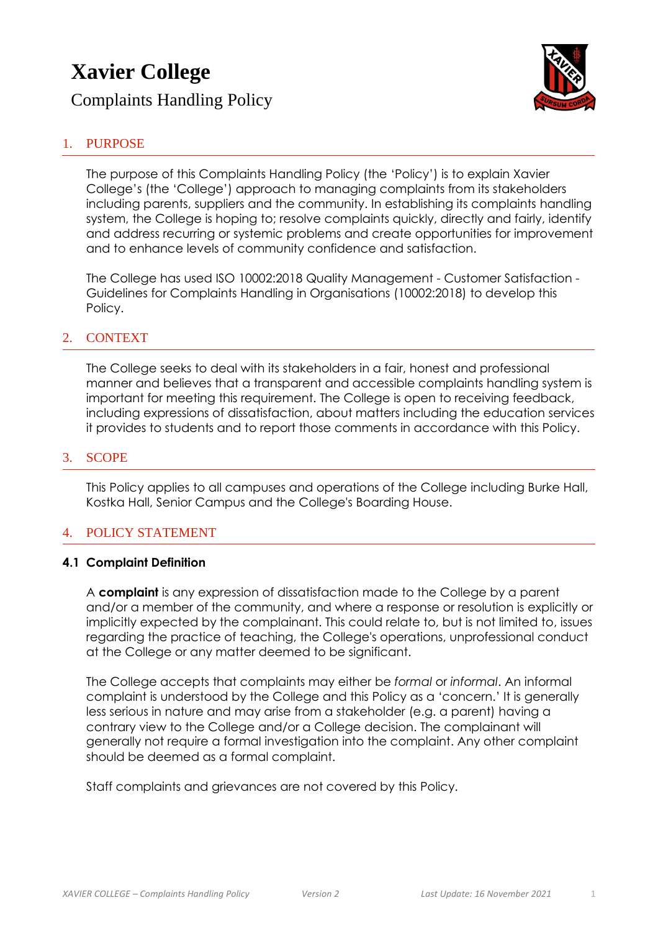# **Xavier College**

Complaints Handling Policy



# 1. PURPOSE

The purpose of this Complaints Handling Policy (the 'Policy') is to explain Xavier College's (the 'College') approach to managing complaints from its stakeholders including parents, suppliers and the community. In establishing its complaints handling system, the College is hoping to; resolve complaints quickly, directly and fairly, identify and address recurring or systemic problems and create opportunities for improvement and to enhance levels of community confidence and satisfaction.

The College has used ISO 10002:2018 Quality Management - Customer Satisfaction - Guidelines for Complaints Handling in Organisations (10002:2018) to develop this Policy.

## 2. CONTEXT

The College seeks to deal with its stakeholders in a fair, honest and professional manner and believes that a transparent and accessible complaints handling system is important for meeting this requirement. The College is open to receiving feedback, including expressions of dissatisfaction, about matters including the education services it provides to students and to report those comments in accordance with this Policy.

#### 3. SCOPE

This Policy applies to all campuses and operations of the College including Burke Hall, Kostka Hall, Senior Campus and the College's Boarding House.

## 4. POLICY STATEMENT

#### **4.1 Complaint Definition**

A **complaint** is any expression of dissatisfaction made to the College by a parent and/or a member of the community, and where a response or resolution is explicitly or implicitly expected by the complainant. This could relate to, but is not limited to, issues regarding the practice of teaching, the College's operations, unprofessional conduct at the College or any matter deemed to be significant.

The College accepts that complaints may either be *formal* or *informal*. An informal complaint is understood by the College and this Policy as a 'concern.' It is generally less serious in nature and may arise from a stakeholder (e.g. a parent) having a contrary view to the College and/or a College decision. The complainant will generally not require a formal investigation into the complaint. Any other complaint should be deemed as a formal complaint.

Staff complaints and grievances are not covered by this Policy.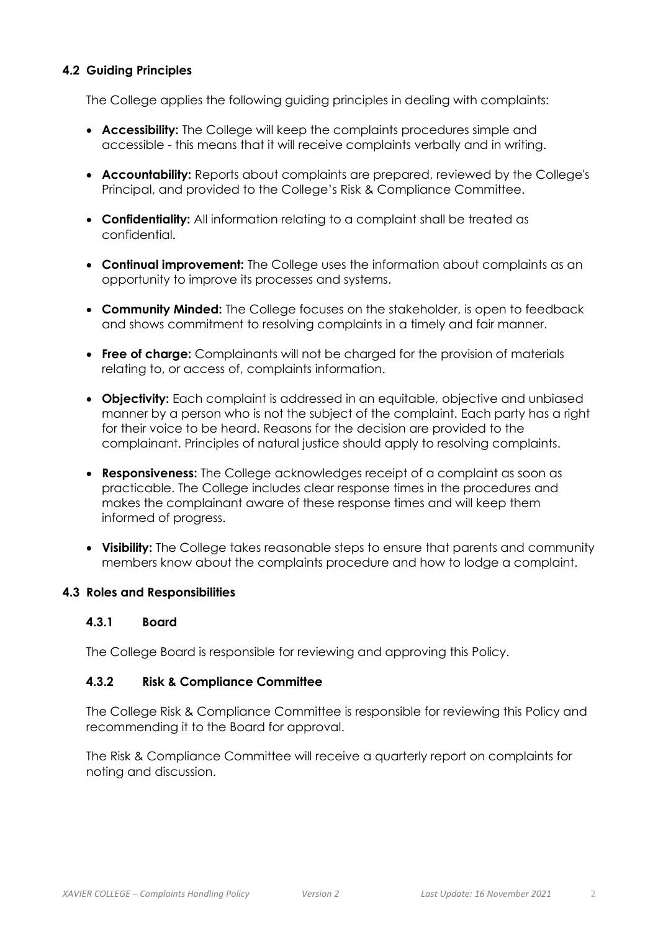## **4.2 Guiding Principles**

The College applies the following guiding principles in dealing with complaints:

- **Accessibility:** The College will keep the complaints procedures simple and accessible - this means that it will receive complaints verbally and in writing.
- **Accountability:** Reports about complaints are prepared, reviewed by the College's Principal, and provided to the College's Risk & Compliance Committee.
- **Confidentiality:** All information relating to a complaint shall be treated as confidential.
- **Continual improvement:** The College uses the information about complaints as an opportunity to improve its processes and systems.
- **Community Minded:** The College focuses on the stakeholder, is open to feedback and shows commitment to resolving complaints in a timely and fair manner.
- **Free of charge:** Complainants will not be charged for the provision of materials relating to, or access of, complaints information.
- **Objectivity:** Each complaint is addressed in an equitable, objective and unbiased manner by a person who is not the subject of the complaint. Each party has a right for their voice to be heard. Reasons for the decision are provided to the complainant. Principles of natural justice should apply to resolving complaints.
- **Responsiveness:** The College acknowledges receipt of a complaint as soon as practicable. The College includes clear response times in the procedures and makes the complainant aware of these response times and will keep them informed of progress.
- **Visibility:** The College takes reasonable steps to ensure that parents and community members know about the complaints procedure and how to lodge a complaint.

## **4.3 Roles and Responsibilities**

#### **4.3.1 Board**

The College Board is responsible for reviewing and approving this Policy.

#### **4.3.2 Risk & Compliance Committee**

The College Risk & Compliance Committee is responsible for reviewing this Policy and recommending it to the Board for approval.

The Risk & Compliance Committee will receive a quarterly report on complaints for noting and discussion.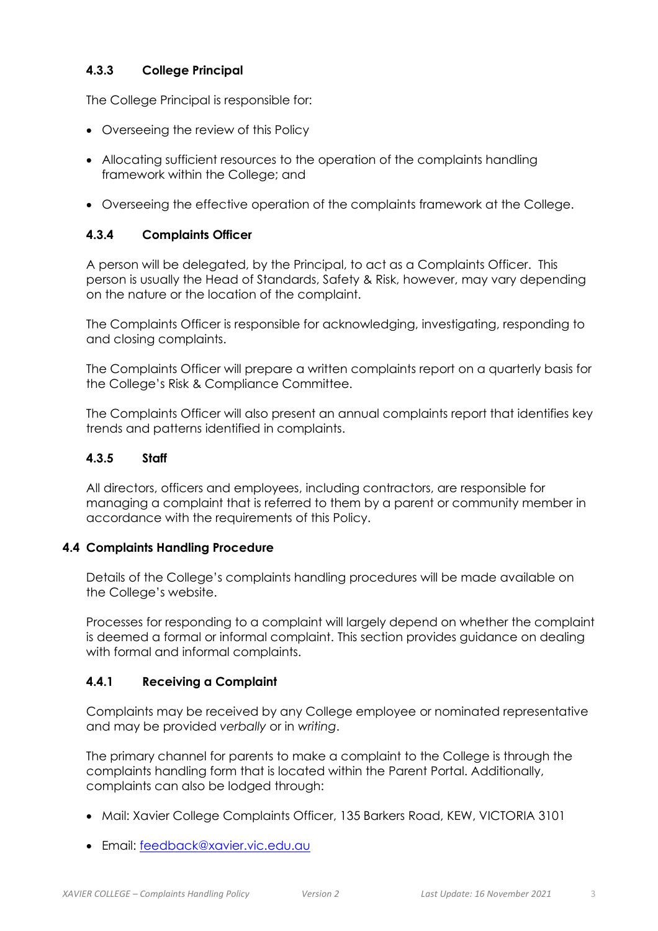# **4.3.3 College Principal**

The College Principal is responsible for:

- Overseeing the review of this Policy
- Allocating sufficient resources to the operation of the complaints handling framework within the College; and
- Overseeing the effective operation of the complaints framework at the College.

## **4.3.4 Complaints Officer**

A person will be delegated, by the Principal, to act as a Complaints Officer. This person is usually the Head of Standards, Safety & Risk, however, may vary depending on the nature or the location of the complaint.

The Complaints Officer is responsible for acknowledging, investigating, responding to and closing complaints.

The Complaints Officer will prepare a written complaints report on a quarterly basis for the College's Risk & Compliance Committee.

The Complaints Officer will also present an annual complaints report that identifies key trends and patterns identified in complaints.

#### **4.3.5 Staff**

All directors, officers and employees, including contractors, are responsible for managing a complaint that is referred to them by a parent or community member in accordance with the requirements of this Policy.

#### **4.4 Complaints Handling Procedure**

Details of the College's complaints handling procedures will be made available on the College's website.

Processes for responding to a complaint will largely depend on whether the complaint is deemed a formal or informal complaint. This section provides guidance on dealing with formal and informal complaints.

## **4.4.1 Receiving a Complaint**

Complaints may be received by any College employee or nominated representative and may be provided *verbally* or in *writing*.

The primary channel for parents to make a complaint to the College is through the complaints handling form that is located within the Parent Portal. Additionally, complaints can also be lodged through:

- Mail: Xavier College Complaints Officer, 135 Barkers Road, KEW, VICTORIA 3101
- Email: [feedback@xavier.vic.edu.au](mailto:feedback@xavier.vic.edu.au)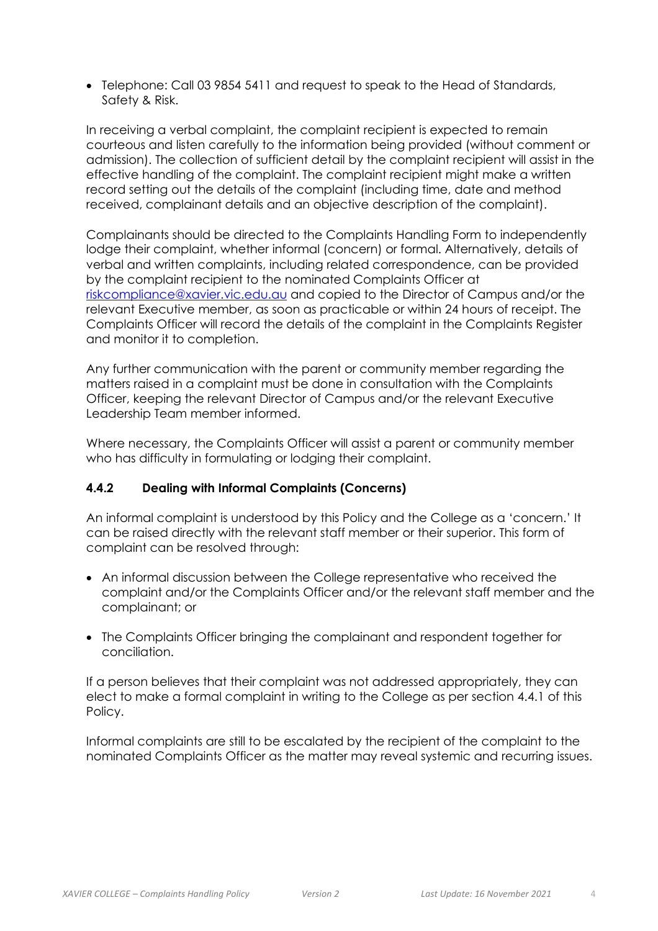• Telephone: Call 03 9854 5411 and request to speak to the Head of Standards, Safety & Risk.

In receiving a verbal complaint, the complaint recipient is expected to remain courteous and listen carefully to the information being provided (without comment or admission). The collection of sufficient detail by the complaint recipient will assist in the effective handling of the complaint. The complaint recipient might make a written record setting out the details of the complaint (including time, date and method received, complainant details and an objective description of the complaint).

Complainants should be directed to the Complaints Handling Form to independently lodge their complaint, whether informal (concern) or formal. Alternatively, details of verbal and written complaints, including related correspondence, can be provided by the complaint recipient to the nominated Complaints Officer at [riskcompliance@xavier.vic.edu.au](mailto:riskcompliance@xavier.vic.edu.au) and copied to the Director of Campus and/or the relevant Executive member, as soon as practicable or within 24 hours of receipt. The Complaints Officer will record the details of the complaint in the Complaints Register and monitor it to completion.

Any further communication with the parent or community member regarding the matters raised in a complaint must be done in consultation with the Complaints Officer, keeping the relevant Director of Campus and/or the relevant Executive Leadership Team member informed.

Where necessary, the Complaints Officer will assist a parent or community member who has difficulty in formulating or lodging their complaint.

## **4.4.2 Dealing with Informal Complaints (Concerns)**

An informal complaint is understood by this Policy and the College as a 'concern.' It can be raised directly with the relevant staff member or their superior. This form of complaint can be resolved through:

- An informal discussion between the College representative who received the complaint and/or the Complaints Officer and/or the relevant staff member and the complainant; or
- The Complaints Officer bringing the complainant and respondent together for conciliation.

If a person believes that their complaint was not addressed appropriately, they can elect to make a formal complaint in writing to the College as per section 4.4.1 of this Policy.

Informal complaints are still to be escalated by the recipient of the complaint to the nominated Complaints Officer as the matter may reveal systemic and recurring issues.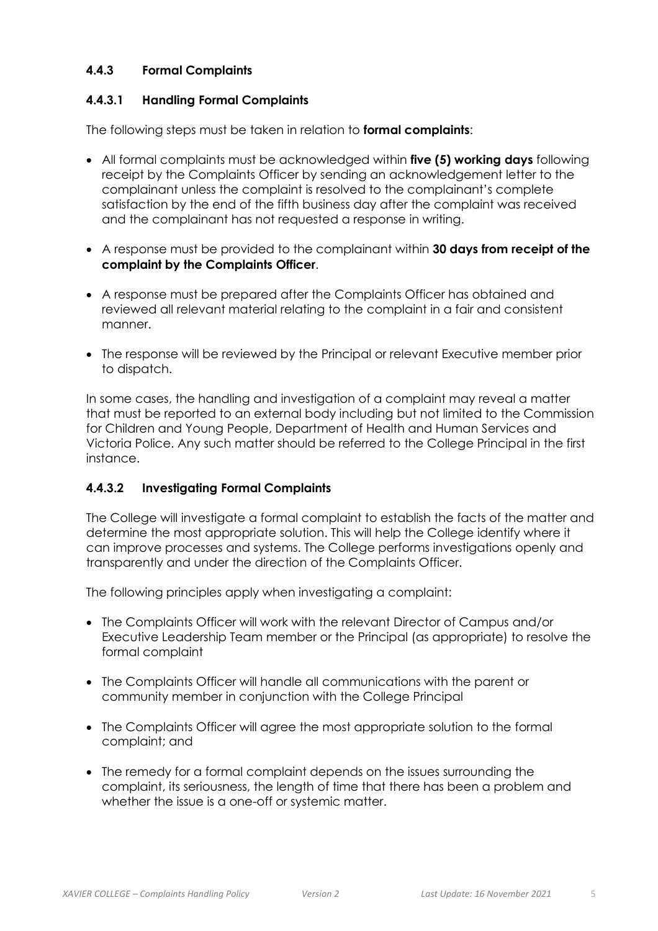# **4.4.3 Formal Complaints**

## **4.4.3.1 Handling Formal Complaints**

The following steps must be taken in relation to **formal complaints**:

- All formal complaints must be acknowledged within **five (5) working days** following receipt by the Complaints Officer by sending an acknowledgement letter to the complainant unless the complaint is resolved to the complainant's complete satisfaction by the end of the fifth business day after the complaint was received and the complainant has not requested a response in writing.
- A response must be provided to the complainant within **30 days from receipt of the complaint by the Complaints Officer**.
- A response must be prepared after the Complaints Officer has obtained and reviewed all relevant material relating to the complaint in a fair and consistent manner.
- The response will be reviewed by the Principal or relevant Executive member prior to dispatch.

In some cases, the handling and investigation of a complaint may reveal a matter that must be reported to an external body including but not limited to the Commission for Children and Young People, Department of Health and Human Services and Victoria Police. Any such matter should be referred to the College Principal in the first instance.

## **4.4.3.2 Investigating Formal Complaints**

The College will investigate a formal complaint to establish the facts of the matter and determine the most appropriate solution. This will help the College identify where it can improve processes and systems. The College performs investigations openly and transparently and under the direction of the Complaints Officer.

The following principles apply when investigating a complaint:

- The Complaints Officer will work with the relevant Director of Campus and/or Executive Leadership Team member or the Principal (as appropriate) to resolve the formal complaint
- The Complaints Officer will handle all communications with the parent or community member in conjunction with the College Principal
- The Complaints Officer will agree the most appropriate solution to the formal complaint; and
- The remedy for a formal complaint depends on the issues surrounding the complaint, its seriousness, the length of time that there has been a problem and whether the issue is a one-off or systemic matter.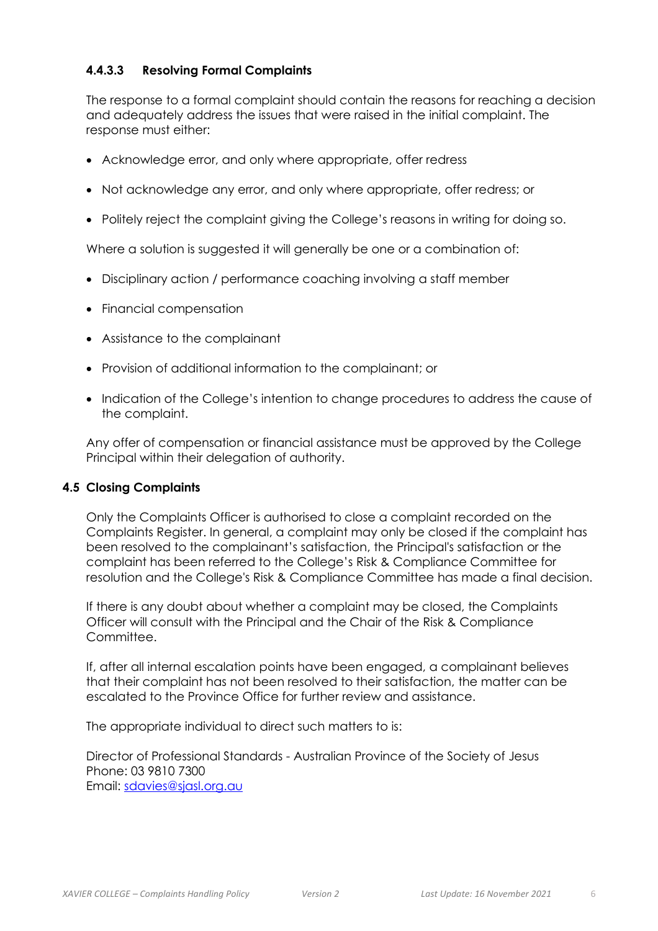# **4.4.3.3 Resolving Formal Complaints**

The response to a formal complaint should contain the reasons for reaching a decision and adequately address the issues that were raised in the initial complaint. The response must either:

- Acknowledge error, and only where appropriate, offer redress
- Not acknowledge any error, and only where appropriate, offer redress; or
- Politely reject the complaint giving the College's reasons in writing for doing so.

Where a solution is suggested it will generally be one or a combination of:

- Disciplinary action / performance coaching involving a staff member
- Financial compensation
- Assistance to the complainant
- Provision of additional information to the complainant; or
- Indication of the College's intention to change procedures to address the cause of the complaint.

Any offer of compensation or financial assistance must be approved by the College Principal within their delegation of authority.

#### **4.5 Closing Complaints**

Only the Complaints Officer is authorised to close a complaint recorded on the Complaints Register. In general, a complaint may only be closed if the complaint has been resolved to the complainant's satisfaction, the Principal's satisfaction or the complaint has been referred to the College's Risk & Compliance Committee for resolution and the College's Risk & Compliance Committee has made a final decision.

If there is any doubt about whether a complaint may be closed, the Complaints Officer will consult with the Principal and the Chair of the Risk & Compliance Committee.

If, after all internal escalation points have been engaged, a complainant believes that their complaint has not been resolved to their satisfaction, the matter can be escalated to the Province Office for further review and assistance.

The appropriate individual to direct such matters to is:

Director of Professional Standards - Australian Province of the Society of Jesus Phone: 03 9810 7300 Email: [sdavies@sjasl.org.au](mailto:sdavies@sjasl.org.au)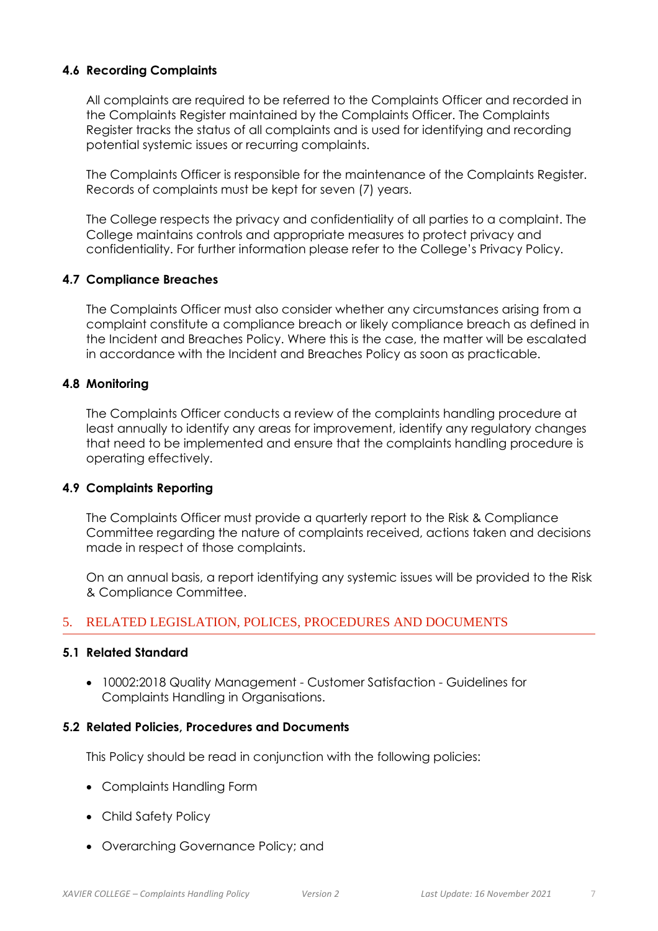## **4.6 Recording Complaints**

All complaints are required to be referred to the Complaints Officer and recorded in the Complaints Register maintained by the Complaints Officer. The Complaints Register tracks the status of all complaints and is used for identifying and recording potential systemic issues or recurring complaints.

The Complaints Officer is responsible for the maintenance of the Complaints Register. Records of complaints must be kept for seven (7) years.

The College respects the privacy and confidentiality of all parties to a complaint. The College maintains controls and appropriate measures to protect privacy and confidentiality. For further information please refer to the College's Privacy Policy.

#### **4.7 Compliance Breaches**

The Complaints Officer must also consider whether any circumstances arising from a complaint constitute a compliance breach or likely compliance breach as defined in the Incident and Breaches Policy. Where this is the case, the matter will be escalated in accordance with the Incident and Breaches Policy as soon as practicable.

#### **4.8 Monitoring**

The Complaints Officer conducts a review of the complaints handling procedure at least annually to identify any areas for improvement, identify any regulatory changes that need to be implemented and ensure that the complaints handling procedure is operating effectively.

#### **4.9 Complaints Reporting**

The Complaints Officer must provide a quarterly report to the Risk & Compliance Committee regarding the nature of complaints received, actions taken and decisions made in respect of those complaints.

On an annual basis, a report identifying any systemic issues will be provided to the Risk & Compliance Committee.

## 5. RELATED LEGISLATION, POLICES, PROCEDURES AND DOCUMENTS

#### **5.1 Related Standard**

• 10002:2018 Quality Management - Customer Satisfaction - Guidelines for Complaints Handling in Organisations.

#### **5.2 Related Policies, Procedures and Documents**

This Policy should be read in conjunction with the following policies:

- Complaints Handling Form
- Child Safety Policy
- Overarching Governance Policy; and